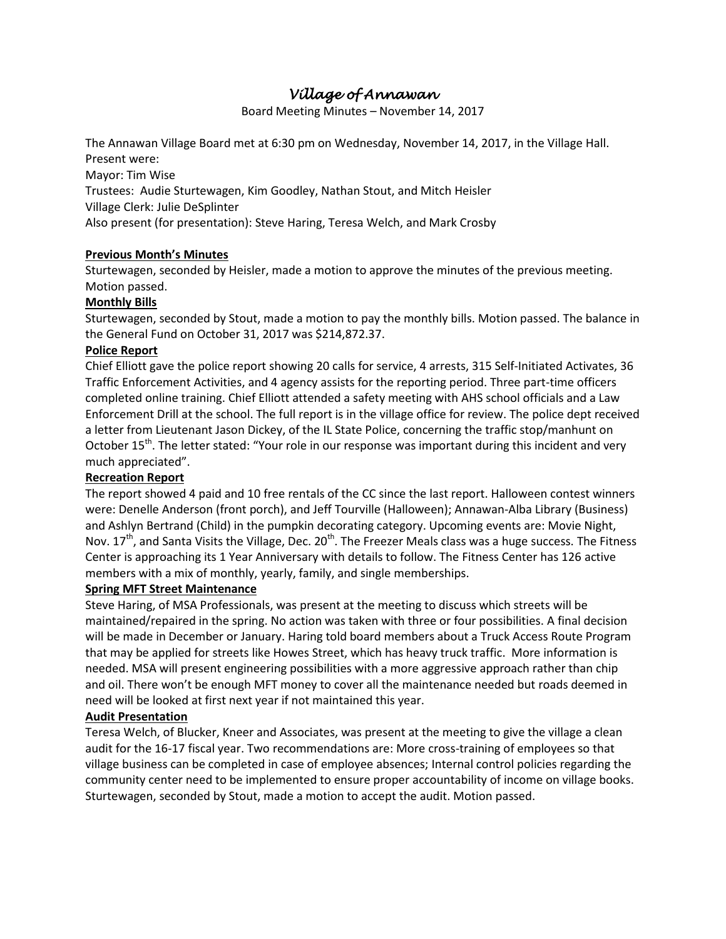# *Village of Annawan*

Board Meeting Minutes – November 14, 2017

The Annawan Village Board met at 6:30 pm on Wednesday, November 14, 2017, in the Village Hall. Present were:

Mayor: Tim Wise Trustees: Audie Sturtewagen, Kim Goodley, Nathan Stout, and Mitch Heisler Village Clerk: Julie DeSplinter Also present (for presentation): Steve Haring, Teresa Welch, and Mark Crosby

## **Previous Month's Minutes**

Sturtewagen, seconded by Heisler, made a motion to approve the minutes of the previous meeting. Motion passed.

#### **Monthly Bills**

Sturtewagen, seconded by Stout, made a motion to pay the monthly bills. Motion passed. The balance in the General Fund on October 31, 2017 was \$214,872.37.

#### **Police Report**

Chief Elliott gave the police report showing 20 calls for service, 4 arrests, 315 Self-Initiated Activates, 36 Traffic Enforcement Activities, and 4 agency assists for the reporting period. Three part-time officers completed online training. Chief Elliott attended a safety meeting with AHS school officials and a Law Enforcement Drill at the school. The full report is in the village office for review. The police dept received a letter from Lieutenant Jason Dickey, of the IL State Police, concerning the traffic stop/manhunt on October 15<sup>th</sup>. The letter stated: "Your role in our response was important during this incident and very much appreciated".

#### **Recreation Report**

The report showed 4 paid and 10 free rentals of the CC since the last report. Halloween contest winners were: Denelle Anderson (front porch), and Jeff Tourville (Halloween); Annawan-Alba Library (Business) and Ashlyn Bertrand (Child) in the pumpkin decorating category. Upcoming events are: Movie Night, Nov.  $17<sup>th</sup>$ , and Santa Visits the Village, Dec.  $20<sup>th</sup>$ . The Freezer Meals class was a huge success. The Fitness Center is approaching its 1 Year Anniversary with details to follow. The Fitness Center has 126 active members with a mix of monthly, yearly, family, and single memberships.

#### **Spring MFT Street Maintenance**

Steve Haring, of MSA Professionals, was present at the meeting to discuss which streets will be maintained/repaired in the spring. No action was taken with three or four possibilities. A final decision will be made in December or January. Haring told board members about a Truck Access Route Program that may be applied for streets like Howes Street, which has heavy truck traffic. More information is needed. MSA will present engineering possibilities with a more aggressive approach rather than chip and oil. There won't be enough MFT money to cover all the maintenance needed but roads deemed in need will be looked at first next year if not maintained this year.

#### **Audit Presentation**

Teresa Welch, of Blucker, Kneer and Associates, was present at the meeting to give the village a clean audit for the 16-17 fiscal year. Two recommendations are: More cross-training of employees so that village business can be completed in case of employee absences; Internal control policies regarding the community center need to be implemented to ensure proper accountability of income on village books. Sturtewagen, seconded by Stout, made a motion to accept the audit. Motion passed.